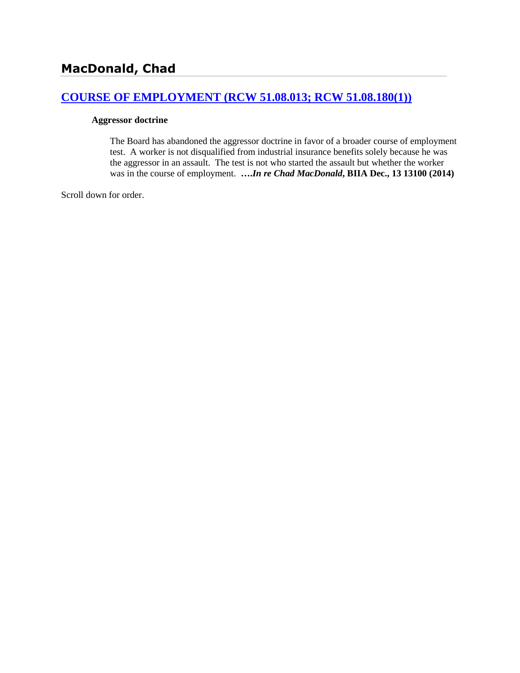## **[COURSE OF EMPLOYMENT \(RCW 51.08.013; RCW 51.08.180\(1\)\)](http://www.biia.wa.gov/SDSubjectIndex.html#COURSE_OF_EMPLOYMENT)**

#### **Aggressor doctrine**

The Board has abandoned the aggressor doctrine in favor of a broader course of employment test. A worker is not disqualified from industrial insurance benefits solely because he was the aggressor in an assault. The test is not who started the assault but whether the worker was in the course of employment. **….***In re Chad MacDonald***, BIIA Dec., 13 13100 (2014)**

Scroll down for order.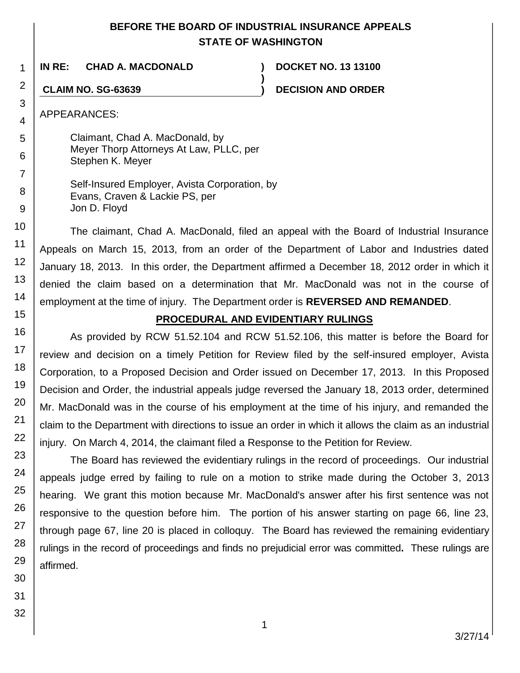## **BEFORE THE BOARD OF INDUSTRIAL INSURANCE APPEALS STATE OF WASHINGTON**

**)**

**IN RE: CHAD A. MACDONALD ) DOCKET NO. 13 13100**

**CLAIM NO. SG-63639 ) DECISION AND ORDER**

APPEARANCES:

Claimant, Chad A. MacDonald, by Meyer Thorp Attorneys At Law, PLLC, per Stephen K. Meyer

Self-Insured Employer, Avista Corporation, by Evans, Craven & Lackie PS, per Jon D. Floyd

The claimant, Chad A. MacDonald, filed an appeal with the Board of Industrial Insurance Appeals on March 15, 2013, from an order of the Department of Labor and Industries dated January 18, 2013. In this order, the Department affirmed a December 18, 2012 order in which it denied the claim based on a determination that Mr. MacDonald was not in the course of employment at the time of injury. The Department order is **REVERSED AND REMANDED**.

# **PROCEDURAL AND EVIDENTIARY RULINGS**

As provided by RCW 51.52.104 and RCW 51.52.106, this matter is before the Board for review and decision on a timely Petition for Review filed by the self-insured employer, Avista Corporation, to a Proposed Decision and Order issued on December 17, 2013. In this Proposed Decision and Order, the industrial appeals judge reversed the January 18, 2013 order, determined Mr. MacDonald was in the course of his employment at the time of his injury, and remanded the claim to the Department with directions to issue an order in which it allows the claim as an industrial injury. On March 4, 2014, the claimant filed a Response to the Petition for Review.

The Board has reviewed the evidentiary rulings in the record of proceedings. Our industrial appeals judge erred by failing to rule on a motion to strike made during the October 3, 2013 hearing. We grant this motion because Mr. MacDonald's answer after his first sentence was not responsive to the question before him. The portion of his answer starting on page 66, line 23, through page 67, line 20 is placed in colloquy. The Board has reviewed the remaining evidentiary rulings in the record of proceedings and finds no prejudicial error was committed**.** These rulings are affirmed.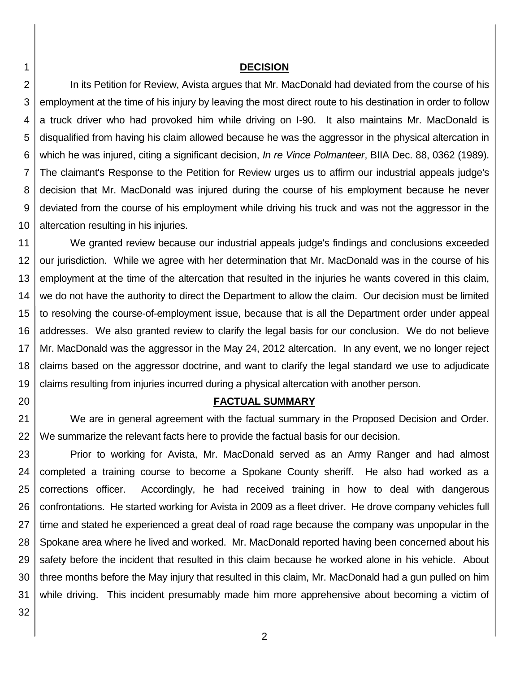#### **DECISION**

2 3 4 5 6 7 8 9 10 In its Petition for Review, Avista argues that Mr. MacDonald had deviated from the course of his employment at the time of his injury by leaving the most direct route to his destination in order to follow a truck driver who had provoked him while driving on I-90. It also maintains Mr. MacDonald is disqualified from having his claim allowed because he was the aggressor in the physical altercation in which he was injured, citing a significant decision, *In re Vince Polmanteer*, BIIA Dec. 88, 0362 (1989). The claimant's Response to the Petition for Review urges us to affirm our industrial appeals judge's decision that Mr. MacDonald was injured during the course of his employment because he never deviated from the course of his employment while driving his truck and was not the aggressor in the altercation resulting in his injuries.

11 12 13 14 15 16 17 18 19 We granted review because our industrial appeals judge's findings and conclusions exceeded our jurisdiction. While we agree with her determination that Mr. MacDonald was in the course of his employment at the time of the altercation that resulted in the injuries he wants covered in this claim, we do not have the authority to direct the Department to allow the claim. Our decision must be limited to resolving the course-of-employment issue, because that is all the Department order under appeal addresses. We also granted review to clarify the legal basis for our conclusion. We do not believe Mr. MacDonald was the aggressor in the May 24, 2012 altercation. In any event, we no longer reject claims based on the aggressor doctrine, and want to clarify the legal standard we use to adjudicate claims resulting from injuries incurred during a physical altercation with another person.

### **FACTUAL SUMMARY**

21 22 We are in general agreement with the factual summary in the Proposed Decision and Order. We summarize the relevant facts here to provide the factual basis for our decision.

23 24 25 26 27 28 29 30 31 Prior to working for Avista, Mr. MacDonald served as an Army Ranger and had almost completed a training course to become a Spokane County sheriff. He also had worked as a corrections officer. Accordingly, he had received training in how to deal with dangerous confrontations. He started working for Avista in 2009 as a fleet driver. He drove company vehicles full time and stated he experienced a great deal of road rage because the company was unpopular in the Spokane area where he lived and worked. Mr. MacDonald reported having been concerned about his safety before the incident that resulted in this claim because he worked alone in his vehicle. About three months before the May injury that resulted in this claim, Mr. MacDonald had a gun pulled on him while driving. This incident presumably made him more apprehensive about becoming a victim of

32

20

1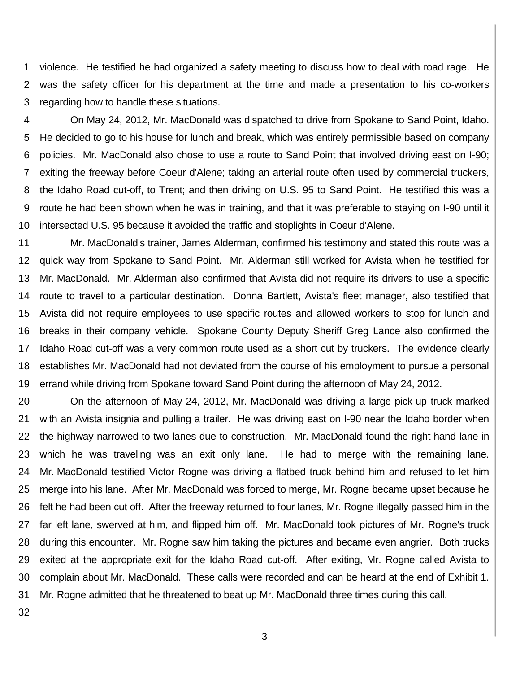1 2 3 violence. He testified he had organized a safety meeting to discuss how to deal with road rage. He was the safety officer for his department at the time and made a presentation to his co-workers regarding how to handle these situations.

4 5 6 7 8 9 10 On May 24, 2012, Mr. MacDonald was dispatched to drive from Spokane to Sand Point, Idaho. He decided to go to his house for lunch and break, which was entirely permissible based on company policies. Mr. MacDonald also chose to use a route to Sand Point that involved driving east on I-90; exiting the freeway before Coeur d'Alene; taking an arterial route often used by commercial truckers, the Idaho Road cut-off, to Trent; and then driving on U.S. 95 to Sand Point. He testified this was a route he had been shown when he was in training, and that it was preferable to staying on I-90 until it intersected U.S. 95 because it avoided the traffic and stoplights in Coeur d'Alene.

11 12 13 14 15 16 17 18 19 Mr. MacDonald's trainer, James Alderman, confirmed his testimony and stated this route was a quick way from Spokane to Sand Point. Mr. Alderman still worked for Avista when he testified for Mr. MacDonald. Mr. Alderman also confirmed that Avista did not require its drivers to use a specific route to travel to a particular destination. Donna Bartlett, Avista's fleet manager, also testified that Avista did not require employees to use specific routes and allowed workers to stop for lunch and breaks in their company vehicle. Spokane County Deputy Sheriff Greg Lance also confirmed the Idaho Road cut-off was a very common route used as a short cut by truckers. The evidence clearly establishes Mr. MacDonald had not deviated from the course of his employment to pursue a personal errand while driving from Spokane toward Sand Point during the afternoon of May 24, 2012.

20 21 22 23 24 25 26 27 28 29 30 31 On the afternoon of May 24, 2012, Mr. MacDonald was driving a large pick-up truck marked with an Avista insignia and pulling a trailer. He was driving east on I-90 near the Idaho border when the highway narrowed to two lanes due to construction. Mr. MacDonald found the right-hand lane in which he was traveling was an exit only lane. He had to merge with the remaining lane. Mr. MacDonald testified Victor Rogne was driving a flatbed truck behind him and refused to let him merge into his lane. After Mr. MacDonald was forced to merge, Mr. Rogne became upset because he felt he had been cut off. After the freeway returned to four lanes, Mr. Rogne illegally passed him in the far left lane, swerved at him, and flipped him off. Mr. MacDonald took pictures of Mr. Rogne's truck during this encounter. Mr. Rogne saw him taking the pictures and became even angrier. Both trucks exited at the appropriate exit for the Idaho Road cut-off. After exiting, Mr. Rogne called Avista to complain about Mr. MacDonald. These calls were recorded and can be heard at the end of Exhibit 1. Mr. Rogne admitted that he threatened to beat up Mr. MacDonald three times during this call.

32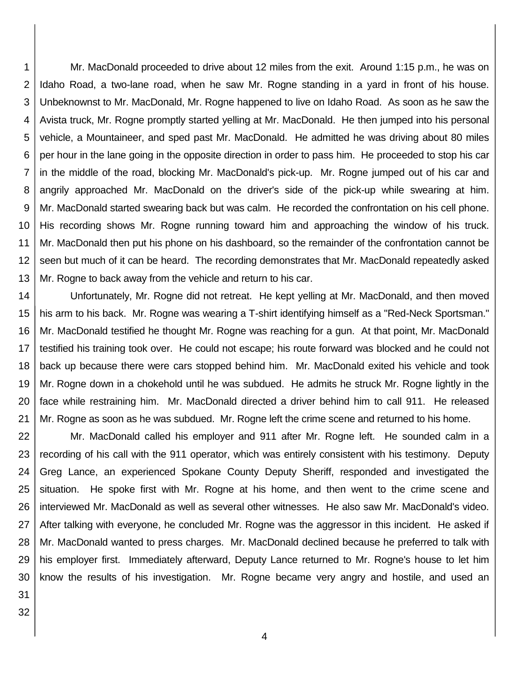1 2 3 4 5 6 7 8 9 10 11 12 13 Mr. MacDonald proceeded to drive about 12 miles from the exit. Around 1:15 p.m., he was on Idaho Road, a two-lane road, when he saw Mr. Rogne standing in a yard in front of his house. Unbeknownst to Mr. MacDonald, Mr. Rogne happened to live on Idaho Road. As soon as he saw the Avista truck, Mr. Rogne promptly started yelling at Mr. MacDonald. He then jumped into his personal vehicle, a Mountaineer, and sped past Mr. MacDonald. He admitted he was driving about 80 miles per hour in the lane going in the opposite direction in order to pass him. He proceeded to stop his car in the middle of the road, blocking Mr. MacDonald's pick-up. Mr. Rogne jumped out of his car and angrily approached Mr. MacDonald on the driver's side of the pick-up while swearing at him. Mr. MacDonald started swearing back but was calm. He recorded the confrontation on his cell phone. His recording shows Mr. Rogne running toward him and approaching the window of his truck. Mr. MacDonald then put his phone on his dashboard, so the remainder of the confrontation cannot be seen but much of it can be heard. The recording demonstrates that Mr. MacDonald repeatedly asked Mr. Rogne to back away from the vehicle and return to his car.

14 15 16 17 18 19 20 21 Unfortunately, Mr. Rogne did not retreat. He kept yelling at Mr. MacDonald, and then moved his arm to his back. Mr. Rogne was wearing a T-shirt identifying himself as a "Red-Neck Sportsman." Mr. MacDonald testified he thought Mr. Rogne was reaching for a gun. At that point, Mr. MacDonald testified his training took over. He could not escape; his route forward was blocked and he could not back up because there were cars stopped behind him. Mr. MacDonald exited his vehicle and took Mr. Rogne down in a chokehold until he was subdued. He admits he struck Mr. Rogne lightly in the face while restraining him. Mr. MacDonald directed a driver behind him to call 911. He released Mr. Rogne as soon as he was subdued. Mr. Rogne left the crime scene and returned to his home.

22 23 24 25 26 27 28 29 30 Mr. MacDonald called his employer and 911 after Mr. Rogne left. He sounded calm in a recording of his call with the 911 operator, which was entirely consistent with his testimony. Deputy Greg Lance, an experienced Spokane County Deputy Sheriff, responded and investigated the situation. He spoke first with Mr. Rogne at his home, and then went to the crime scene and interviewed Mr. MacDonald as well as several other witnesses. He also saw Mr. MacDonald's video. After talking with everyone, he concluded Mr. Rogne was the aggressor in this incident. He asked if Mr. MacDonald wanted to press charges. Mr. MacDonald declined because he preferred to talk with his employer first. Immediately afterward, Deputy Lance returned to Mr. Rogne's house to let him know the results of his investigation. Mr. Rogne became very angry and hostile, and used an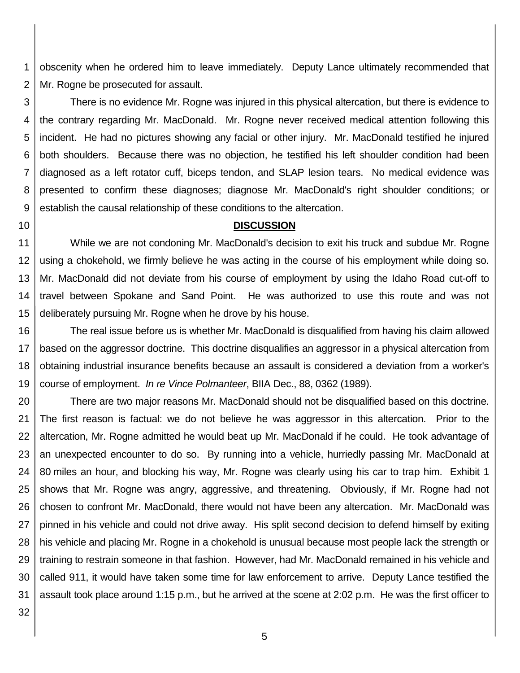1 2 obscenity when he ordered him to leave immediately. Deputy Lance ultimately recommended that Mr. Rogne be prosecuted for assault.

3 4 5 6 7 8 9 There is no evidence Mr. Rogne was injured in this physical altercation, but there is evidence to the contrary regarding Mr. MacDonald. Mr. Rogne never received medical attention following this incident. He had no pictures showing any facial or other injury. Mr. MacDonald testified he injured both shoulders. Because there was no objection, he testified his left shoulder condition had been diagnosed as a left rotator cuff, biceps tendon, and SLAP lesion tears. No medical evidence was presented to confirm these diagnoses; diagnose Mr. MacDonald's right shoulder conditions; or establish the causal relationship of these conditions to the altercation.

### **DISCUSSION**

11 12 13 14 15 While we are not condoning Mr. MacDonald's decision to exit his truck and subdue Mr. Rogne using a chokehold, we firmly believe he was acting in the course of his employment while doing so. Mr. MacDonald did not deviate from his course of employment by using the Idaho Road cut-off to travel between Spokane and Sand Point. He was authorized to use this route and was not deliberately pursuing Mr. Rogne when he drove by his house.

16 17 18 19 The real issue before us is whether Mr. MacDonald is disqualified from having his claim allowed based on the aggressor doctrine. This doctrine disqualifies an aggressor in a physical altercation from obtaining industrial insurance benefits because an assault is considered a deviation from a worker's course of employment. *In re Vince Polmanteer*, BIIA Dec., 88, 0362 (1989).

20 21 22 23 24 25 26 27 28 29 30 31 There are two major reasons Mr. MacDonald should not be disqualified based on this doctrine. The first reason is factual: we do not believe he was aggressor in this altercation. Prior to the altercation, Mr. Rogne admitted he would beat up Mr. MacDonald if he could. He took advantage of an unexpected encounter to do so. By running into a vehicle, hurriedly passing Mr. MacDonald at 80 miles an hour, and blocking his way, Mr. Rogne was clearly using his car to trap him. Exhibit 1 shows that Mr. Rogne was angry, aggressive, and threatening. Obviously, if Mr. Rogne had not chosen to confront Mr. MacDonald, there would not have been any altercation. Mr. MacDonald was pinned in his vehicle and could not drive away. His split second decision to defend himself by exiting his vehicle and placing Mr. Rogne in a chokehold is unusual because most people lack the strength or training to restrain someone in that fashion. However, had Mr. MacDonald remained in his vehicle and called 911, it would have taken some time for law enforcement to arrive. Deputy Lance testified the assault took place around 1:15 p.m., but he arrived at the scene at 2:02 p.m. He was the first officer to

32

10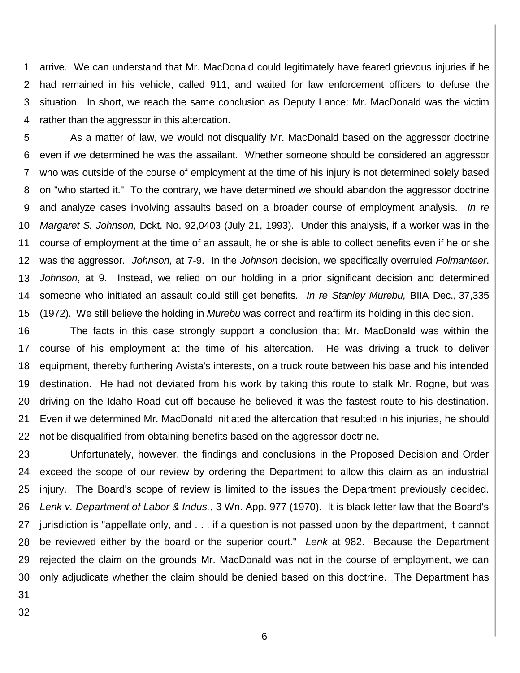1 2 3 4 arrive. We can understand that Mr. MacDonald could legitimately have feared grievous injuries if he had remained in his vehicle, called 911, and waited for law enforcement officers to defuse the situation. In short, we reach the same conclusion as Deputy Lance: Mr. MacDonald was the victim rather than the aggressor in this altercation.

5 6 7 8 9 10 11 12 13 14 15 As a matter of law, we would not disqualify Mr. MacDonald based on the aggressor doctrine even if we determined he was the assailant. Whether someone should be considered an aggressor who was outside of the course of employment at the time of his injury is not determined solely based on "who started it." To the contrary, we have determined we should abandon the aggressor doctrine and analyze cases involving assaults based on a broader course of employment analysis. *In re Margaret S. Johnson*, Dckt. No. 92,0403 (July 21, 1993). Under this analysis, if a worker was in the course of employment at the time of an assault, he or she is able to collect benefits even if he or she was the aggressor. *Johnson,* at 7-9. In the *Johnson* decision, we specifically overruled *Polmanteer*. *Johnson*, at 9. Instead, we relied on our holding in a prior significant decision and determined someone who initiated an assault could still get benefits. *In re Stanley Murebu,* BIIA Dec., 37,335 (1972). We still believe the holding in *Murebu* was correct and reaffirm its holding in this decision.

16 17 18 19 20 21 22 The facts in this case strongly support a conclusion that Mr. MacDonald was within the course of his employment at the time of his altercation. He was driving a truck to deliver equipment, thereby furthering Avista's interests, on a truck route between his base and his intended destination. He had not deviated from his work by taking this route to stalk Mr. Rogne, but was driving on the Idaho Road cut-off because he believed it was the fastest route to his destination. Even if we determined Mr. MacDonald initiated the altercation that resulted in his injuries, he should not be disqualified from obtaining benefits based on the aggressor doctrine.

23 24 25 26 27 28 29 30 Unfortunately, however, the findings and conclusions in the Proposed Decision and Order exceed the scope of our review by ordering the Department to allow this claim as an industrial injury. The Board's scope of review is limited to the issues the Department previously decided. *Lenk v. Department of Labor & Indus.*, 3 Wn. App. 977 (1970). It is black letter law that the Board's jurisdiction is "appellate only, and . . . if a question is not passed upon by the department, it cannot be reviewed either by the board or the superior court." *Lenk* at 982. Because the Department rejected the claim on the grounds Mr. MacDonald was not in the course of employment, we can only adjudicate whether the claim should be denied based on this doctrine. The Department has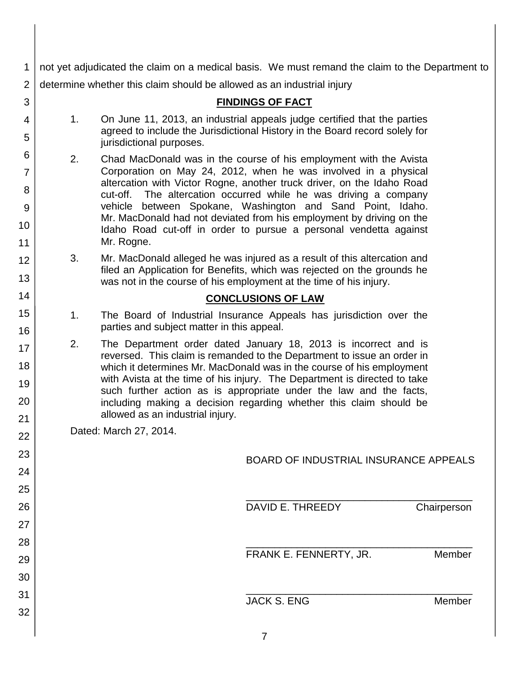| 1        | not yet adjudicated the claim on a medical basis. We must remand the claim to the Department to |                                                                                                                                                                                                                     |  |
|----------|-------------------------------------------------------------------------------------------------|---------------------------------------------------------------------------------------------------------------------------------------------------------------------------------------------------------------------|--|
| 2        | determine whether this claim should be allowed as an industrial injury                          |                                                                                                                                                                                                                     |  |
| 3        |                                                                                                 | <b>FINDINGS OF FACT</b>                                                                                                                                                                                             |  |
| 4        | 1 <sub>1</sub>                                                                                  | On June 11, 2013, an industrial appeals judge certified that the parties                                                                                                                                            |  |
| 5        |                                                                                                 | agreed to include the Jurisdictional History in the Board record solely for<br>jurisdictional purposes.                                                                                                             |  |
| 6        | 2.                                                                                              | Chad MacDonald was in the course of his employment with the Avista                                                                                                                                                  |  |
| 7        |                                                                                                 | Corporation on May 24, 2012, when he was involved in a physical<br>altercation with Victor Rogne, another truck driver, on the Idaho Road                                                                           |  |
| 8        |                                                                                                 | The altercation occurred while he was driving a company<br>cut-off.                                                                                                                                                 |  |
| 9        |                                                                                                 | vehicle between Spokane, Washington and Sand Point, Idaho.<br>Mr. MacDonald had not deviated from his employment by driving on the                                                                                  |  |
| 10       |                                                                                                 | Idaho Road cut-off in order to pursue a personal vendetta against                                                                                                                                                   |  |
| 11       |                                                                                                 | Mr. Rogne.                                                                                                                                                                                                          |  |
| 12       | 3.                                                                                              | Mr. MacDonald alleged he was injured as a result of this altercation and<br>filed an Application for Benefits, which was rejected on the grounds he                                                                 |  |
| 13       |                                                                                                 | was not in the course of his employment at the time of his injury.                                                                                                                                                  |  |
| 14       | <b>CONCLUSIONS OF LAW</b>                                                                       |                                                                                                                                                                                                                     |  |
| 15<br>16 | 1.                                                                                              | The Board of Industrial Insurance Appeals has jurisdiction over the<br>parties and subject matter in this appeal.                                                                                                   |  |
| 17       | 2.                                                                                              | The Department order dated January 18, 2013 is incorrect and is<br>reversed. This claim is remanded to the Department to issue an order in<br>which it determines Mr. MacDonald was in the course of his employment |  |
| 18       |                                                                                                 |                                                                                                                                                                                                                     |  |
| 19       |                                                                                                 | with Avista at the time of his injury. The Department is directed to take                                                                                                                                           |  |
| 20       |                                                                                                 | such further action as is appropriate under the law and the facts,<br>including making a decision regarding whether this claim should be                                                                            |  |
| 21       |                                                                                                 | allowed as an industrial injury.                                                                                                                                                                                    |  |
| 22       | Dated: March 27, 2014.                                                                          |                                                                                                                                                                                                                     |  |
| 23       | <b>BOARD OF INDUSTRIAL INSURANCE APPEALS</b>                                                    |                                                                                                                                                                                                                     |  |
| 24       |                                                                                                 |                                                                                                                                                                                                                     |  |
| 25       |                                                                                                 |                                                                                                                                                                                                                     |  |
| 26       |                                                                                                 | DAVID E. THREEDY<br>Chairperson                                                                                                                                                                                     |  |
| 27       |                                                                                                 |                                                                                                                                                                                                                     |  |
| 28       |                                                                                                 |                                                                                                                                                                                                                     |  |
| 29       |                                                                                                 | Member<br>FRANK E. FENNERTY, JR.                                                                                                                                                                                    |  |
| 30       |                                                                                                 |                                                                                                                                                                                                                     |  |
| 31       |                                                                                                 | <b>JACK S. ENG</b><br>Member                                                                                                                                                                                        |  |
| 32       |                                                                                                 |                                                                                                                                                                                                                     |  |
|          |                                                                                                 |                                                                                                                                                                                                                     |  |